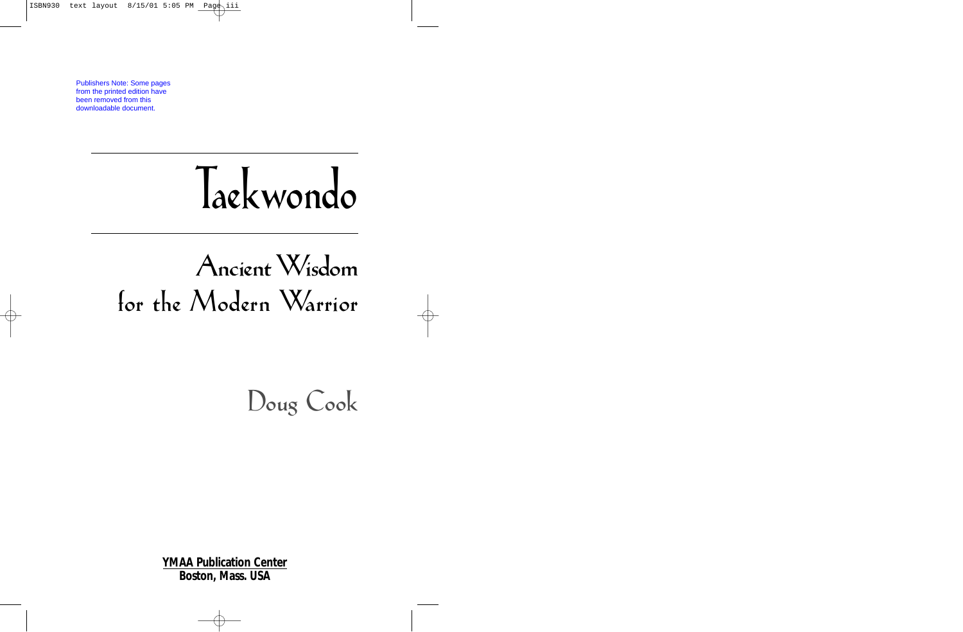Publishers Note: Some pages from the printed edition have been removed from this downloadable document.

# Taekwondo

# Ancient Wisdom for the Modern Warrior

Doug Cook

**YMAA Publication Center Boston, Mass. USA**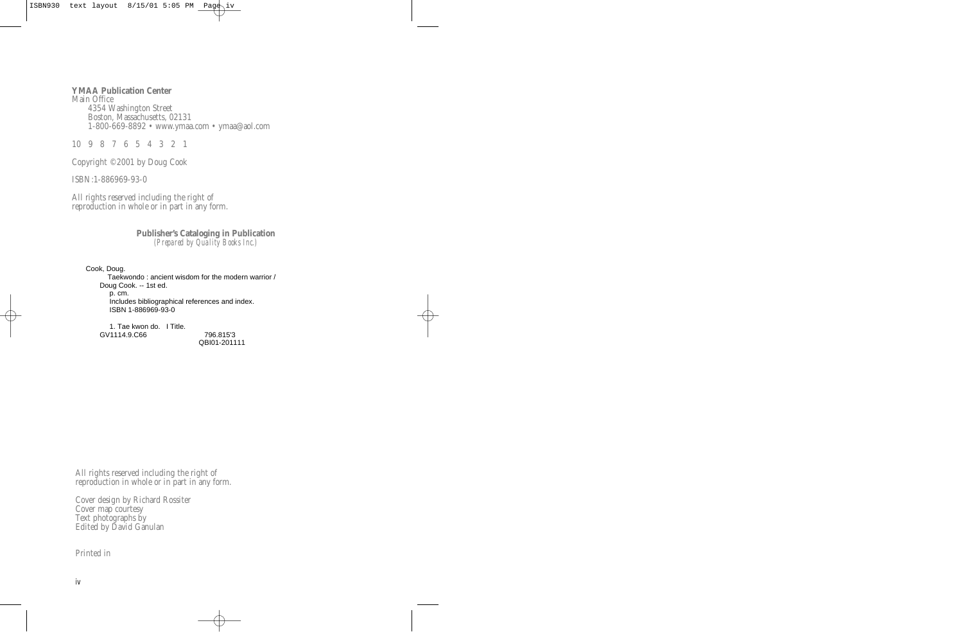**YMAA Publication Center** Main Office 4354 Washington Street Boston, Massachusetts, 02131 1-800-669-8892 • www.ymaa.com • ymaa@aol.com

10 9 8 7 6 5 4 3 2 1

Copyright ©2001 by Doug Cook

ISBN:1-886969-93-0

All rights reserved including the right of reproduction in whole or in part in any form.

**Publisher's Cataloging in Publication** *(Prepared by Quality Books Inc.)*

Cook, Doug. Taekwondo : ancient wisdom for the modern warrior / Doug Cook. -- 1st ed. p. cm. Includes bibliographical references and index. ISBN 1-886969-93-0 1. Tae kwon do. I Title.

GV1114.9.C66 796.815'3

QBI01-201111

All rights reserved including the right of reproduction in whole or in part in any form.

Cover design by Richard Rossiter Cover map courtesy Text photographs by Edited by David Ganulan

Printed in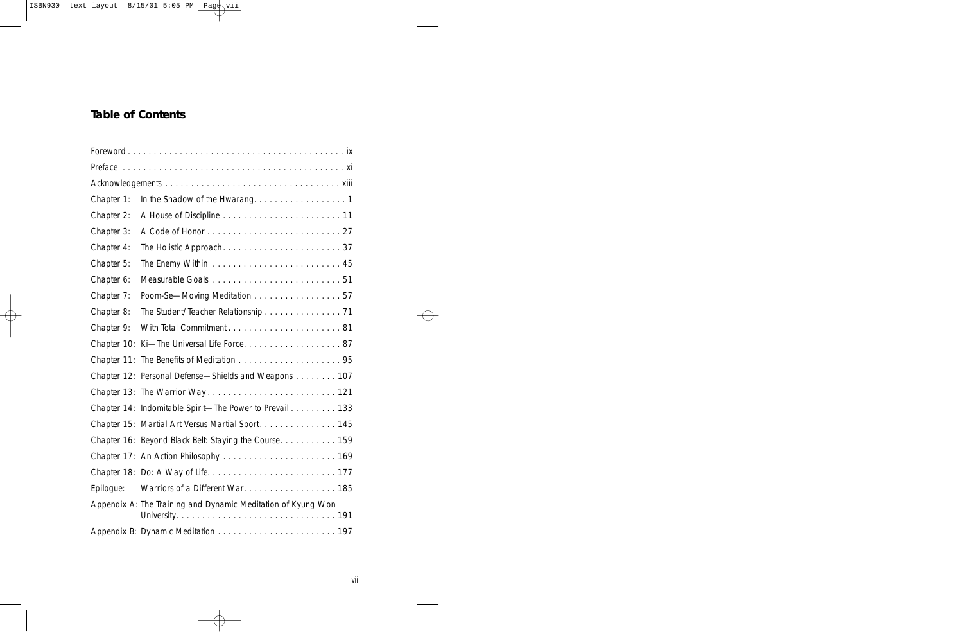## **Table of Contents**

| Chapter 1: | In the Shadow of the Hwarang. 1                              |
|------------|--------------------------------------------------------------|
| Chapter 2: |                                                              |
| Chapter 3: |                                                              |
| Chapter 4: |                                                              |
| Chapter 5: |                                                              |
| Chapter 6: |                                                              |
| Chapter 7: | Poom-Se-Moving Meditation 57                                 |
| Chapter 8: | The Student/Teacher Relationship 71                          |
| Chapter 9: |                                                              |
|            | Chapter 10: Ki-The Universal Life Force. 87                  |
|            |                                                              |
|            | Chapter 12: Personal Defense-Shields and Weapons 107         |
|            |                                                              |
|            | Chapter 14: Indomitable Spirit-The Power to Prevail 133      |
|            | Chapter 15: Martial Art Versus Martial Sport 145             |
|            | Chapter 16: Beyond Black Belt: Staying the Course. 159       |
|            | Chapter 17: An Action Philosophy  169                        |
|            |                                                              |
|            | Epilogue: Warriors of a Different War. 185                   |
|            | Appendix A: The Training and Dynamic Meditation of Kyung Won |
|            | Appendix B: Dynamic Meditation  197                          |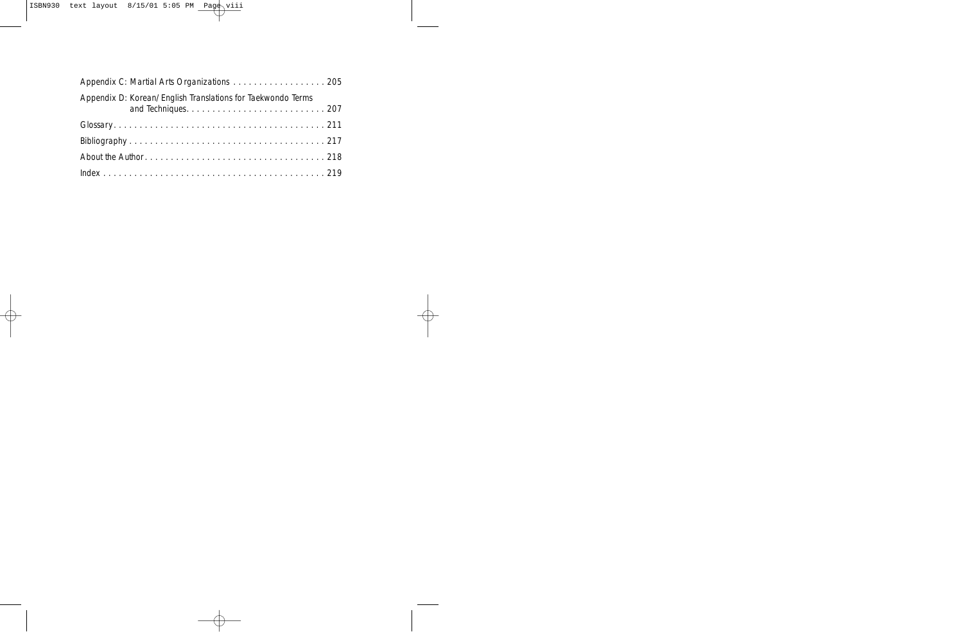| Appendix C: Martial Arts Organizations 205                  |  |
|-------------------------------------------------------------|--|
| Appendix D: Korean/English Translations for Taekwondo Terms |  |
|                                                             |  |
|                                                             |  |
|                                                             |  |
|                                                             |  |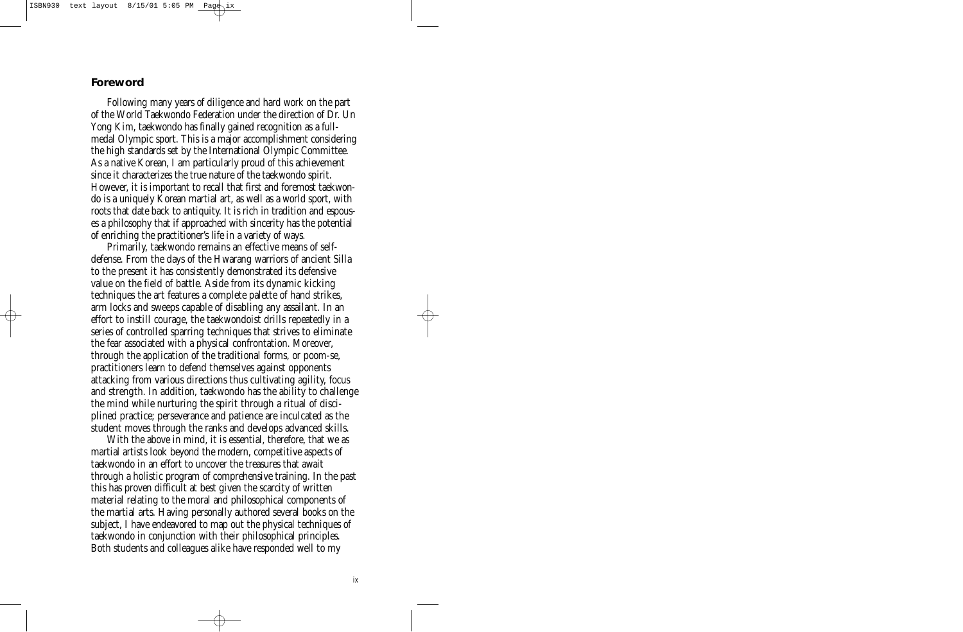#### **Foreword**

Following many years of diligence and hard work on the part of the World Taekwondo Federation under the direction of Dr. Un Yong Kim, taekwondo has finally gained recognition as a fullmedal Olympic sport. This is a major accomplishment considering the high standards set by the International Olympic Committee. As a native Korean, I am particularly proud of this achievement since it characterizes the true nature of the taekwondo spirit. However, it is important to recall that first and foremost taekwondo is a uniquely Korean martial art, as well as a world sport, with roots that date back to antiquity. It is rich in tradition and espouses a philosophy that if approached with sincerity has the potential of enriching the practitioner's life in a variety of ways.

Primarily, taekwondo remains an effective means of selfdefense. From the days of the Hwarang warriors of ancient Silla to the present it has consistently demonstrated its defensive value on the field of battle. Aside from its dynamic kicking techniques the art features a complete palette of hand strikes, arm locks and sweeps capable of disabling any assailant. In an effort to instill courage, the taekwondoist drills repeatedly in a series of controlled sparring techniques that strives to eliminate the fear associated with a physical confrontation. Moreover, through the application of the traditional forms, or poom-se, practitioners learn to defend themselves against opponents attacking from various directions thus cultivating agility, focus and strength. In addition, taekwondo has the ability to challenge the mind while nurturing the spirit through a ritual of disciplined practice; perseverance and patience are inculcated as the student moves through the ranks and develops advanced skills.

With the above in mind, it is essential, therefore, that we as martial artists look beyond the modern, competitive aspects of taekwondo in an effort to uncover the treasures that await through a holistic program of comprehensive training. In the past this has proven difficult at best given the scarcity of written material relating to the moral and philosophical components of the martial arts. Having personally authored several books on the subject, I have endeavored to map out the physical techniques of taekwondo in conjunction with their philosophical principles. Both students and colleagues alike have responded well to my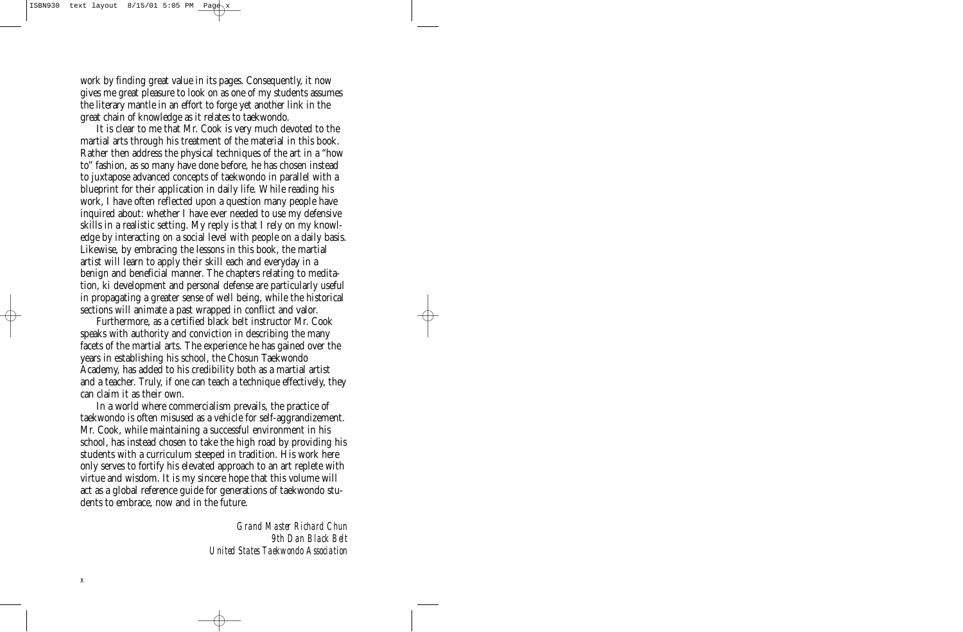work by finding great value in its pages. Consequently, it now gives me great pleasure to look on as one of my students assumes the literary mantle in an effort to forge yet another link in the great chain of knowledge as it relates to taekwondo.

It is clear to me that Mr. Cook is very much devoted to the martial arts through his treatment of the material in this book. Rather then address the physical techniques of the art in a "how to" fashion, as so many have done before, he has chosen instead to juxtapose advanced concepts of taekwondo in parallel with a blueprint for their application in daily life. While reading his work, I have often reflected upon a question many people have inquired about: whether I have ever needed to use my defensive skills in a realistic setting. My reply is that I rely on my knowledge by interacting on a social level with people on a daily basis. Likewise, by embracing the lessons in this book, the martial artist will learn to apply their skill each and everyday in a benign and beneficial manner. The chapters relating to meditation, ki development and personal defense are particularly useful in propagating a greater sense of well being, while the historical sections will animate a past wrapped in conflict and valor.

Furthermore, as a certified black belt instructor Mr. Cook speaks with authority and conviction in describing the many facets of the martial arts. The experience he has gained over the years in establishing his school, the Chosun Taekwondo Academy, has added to his credibility both as a martial artist and a teacher. Truly, if one can teach a technique effectively, they can claim it as their own.

In a world where commercialism prevails, the practice of taekwondo is often misused as a vehicle for self-aggrandizement. Mr. Cook, while maintaining a successful environment in his school, has instead chosen to take the high road by providing his students with a curriculum steeped in tradition. His work here only serves to fortify his elevated approach to an art replete with virtue and wisdom. It is my sincere hope that this volume will act as a global reference guide for generations of taekwondo students to embrace, now and in the future.

> *Grand Master Richard Chun 9th Dan Black Belt United States Taekwondo Association*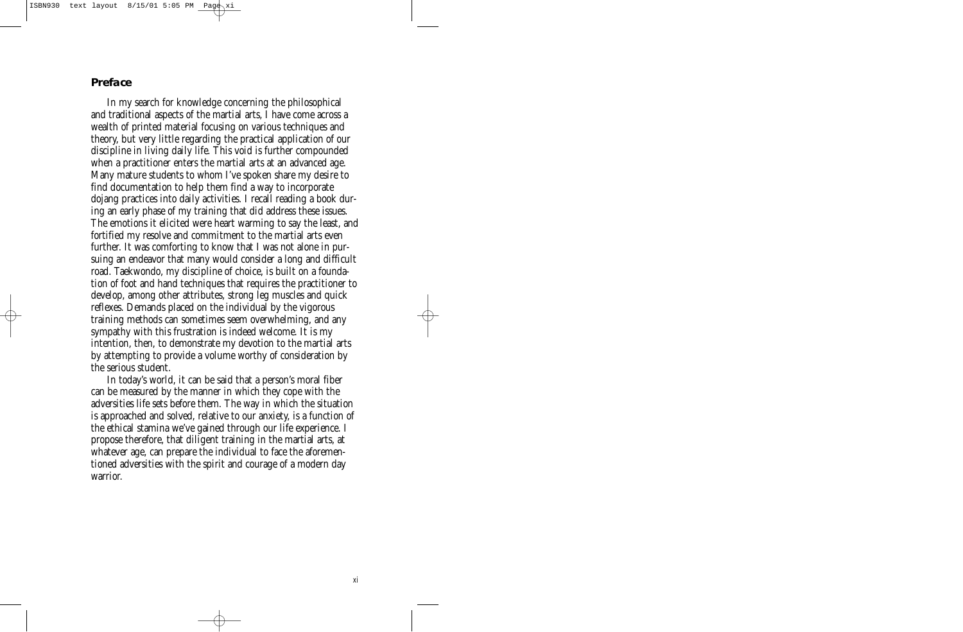#### **Preface**

In my search for knowledge concerning the philosophical and traditional aspects of the martial arts, I have come across a wealth of printed material focusing on various techniques and theory, but very little regarding the practical application of our discipline in living daily life. This void is further compounded when a practitioner enters the martial arts at an advanced age. Many mature students to whom I've spoken share my desire to find documentation to help them find a way to incorporate dojang practices into daily activities. I recall reading a book during an early phase of my training that did address these issues. The emotions it elicited were heart warming to say the least, and fortified my resolve and commitment to the martial arts even further. It was comforting to know that I was not alone in pursuing an endeavor that many would consider a long and difficult road. Taekwondo, my discipline of choice, is built on a foundation of foot and hand techniques that requires the practitioner to develop, among other attributes, strong leg muscles and quick reflexes. Demands placed on the individual by the vigorous training methods can sometimes seem overwhelming, and any sympathy with this frustration is indeed welcome. It is my intention, then, to demonstrate my devotion to the martial arts by attempting to provide a volume worthy of consideration by the serious student.

In today's world, it can be said that a person's moral fiber can be measured by the manner in which they cope with the adversities life sets before them. The way in which the situation is approached and solved, relative to our anxiety, is a function of the ethical stamina we've gained through our life experience. I propose therefore, that diligent training in the martial arts, at whatever age, can prepare the individual to face the aforementioned adversities with the spirit and courage of a modern day warrior.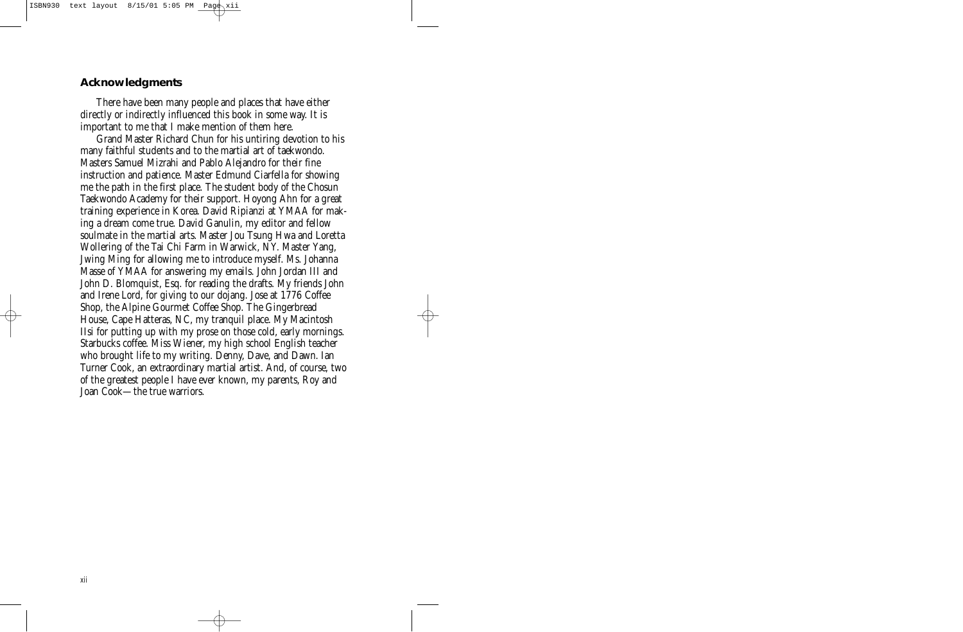#### **Acknowledgments**

There have been many people and places that have either directly or indirectly influenced this book in some way. It is important to me that I make mention of them here.

Grand Master Richard Chun for his untiring devotion to his many faithful students and to the martial art of taekwondo. Masters Samuel Mizrahi and Pablo Alejandro for their fine instruction and patience. Master Edmund Ciarfella for showing me the path in the first place. The student body of the Chosun Taekwondo Academy for their support. Hoyong Ahn for a great training experience in Korea. David Ripianzi at YMAA for making a dream come true. David Ganulin, my editor and fellow soulmate in the martial arts. Master Jou Tsung Hwa and Loretta Wollering of the Tai Chi Farm in Warwick, NY. Master Yang, Jwing Ming for allowing me to introduce myself. Ms. Johanna Masse of YMAA for answering my emails. John Jordan III and John D. Blomquist, Esq. for reading the drafts. My friends John and Irene Lord, for giving to our dojang. Jose at 1776 Coffee Shop, the Alpine Gourmet Coffee Shop. The Gingerbread House, Cape Hatteras, NC, my tranquil place. My Macintosh IIsi for putting up with my prose on those cold, early mornings. Starbucks coffee. Miss Wiener, my high school English teacher who brought life to my writing. Denny, Dave, and Dawn. Ian Turner Cook, an extraordinary martial artist. And, of course, two of the greatest people I have ever known, my parents, Roy and Joan Cook—the true warriors.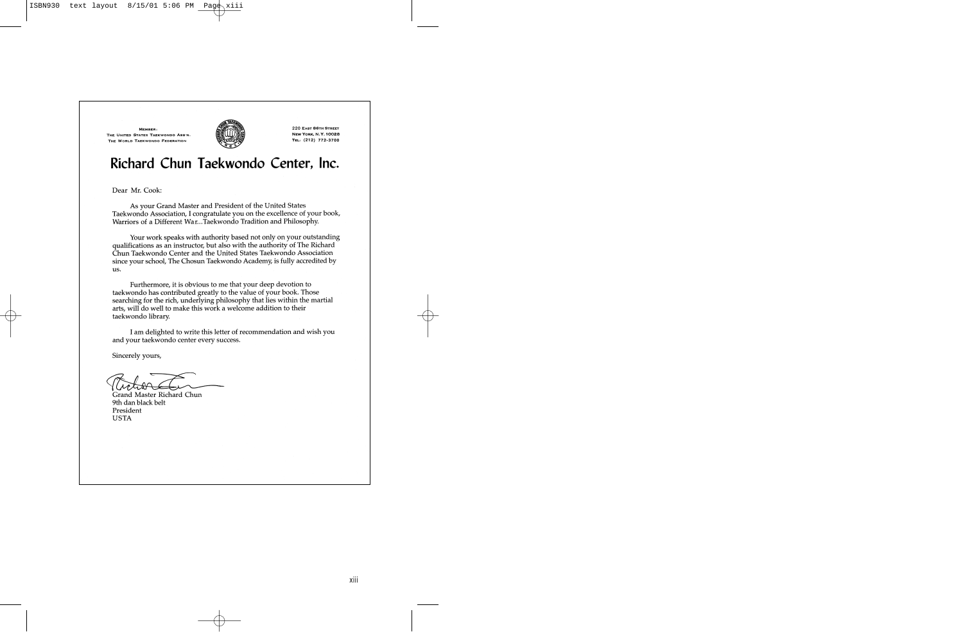MEMBER-THE UNITED STATES TAEKWONDO ASS'N. THE WORLD TAEKWONDO FEDERATION



220 EAST 86TH STREET **NEW YORK, N.Y. 10028** TEL: (212) 772-3700

# Richard Chun Taekwondo Center, Inc.

Dear Mr. Cook:

As your Grand Master and President of the United States Taekwondo Association, I congratulate you on the excellence of your book, Warriors of a Different War...Taekwondo Tradition and Philosophy.

Your work speaks with authority based not only on your outstanding qualifications as an instructor, but also with the authority of The Richard Chun Taekwondo Center and the United States Taekwondo Association since your school, The Chosun Taekwondo Academy, is fully accredited by us.

Furthermore, it is obvious to me that your deep devotion to taekwondo has contributed greatly to the value of your book. Those searching for the rich, underlying philosophy that lies within the martial arts, will do well to make this work a welcome addition to their taekwondo library.

I am delighted to write this letter of recommendation and wish you and your taekwondo center every success.

Sincerely yours,

Grand Master Richard Chun 9th dan black belt President **USTA**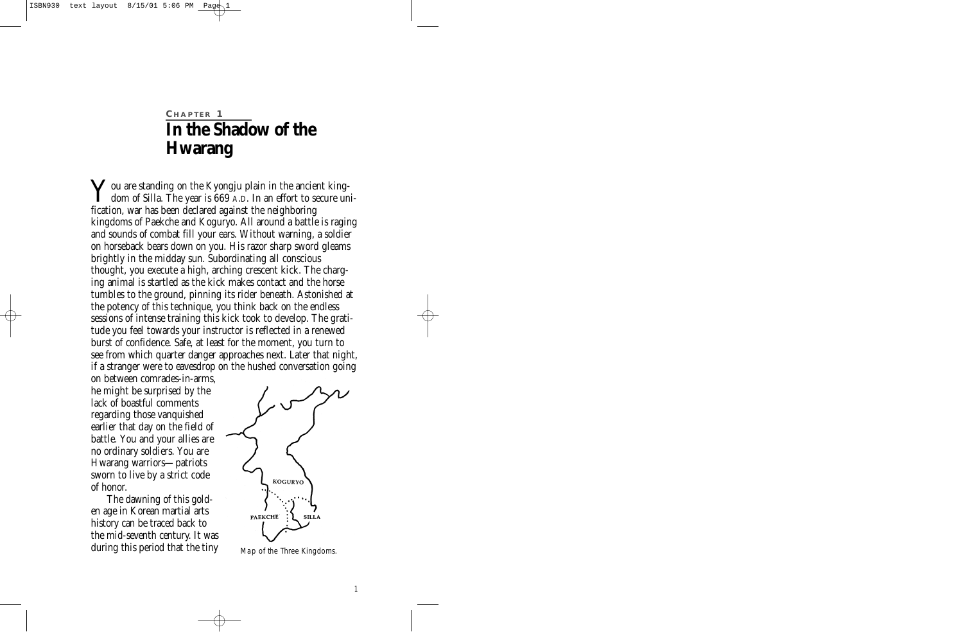# **C HAPTER 1 In the Shadow of the Hwarang**

You are standing on the Kyongju plain in the ancient king-<br>dom of Silla. The year is 669 A.D. In an effort to secure uni-<br>fiction, were headed assigned assignt the poisbboring fication, war has been declared against the neighboring kingdoms of Paekche and Koguryo. All around a battle is raging and sounds of combat fill your ears. Without warning, a soldier on horseback bears down on you. His razor sharp sword gleams brightly in the midday sun. Subordinating all conscious thought, you execute a high, arching crescent kick. The charging animal is startled as the kick makes contact and the horse tumbles to the ground, pinning its rider beneath. Astonished at the potency of this technique, you think back on the endless sessions of intense training this kick took to develop. The gratitude you feel towards your instructor is reflected in a renewed burst of confidence. Safe, at least for the moment, you turn to see from which quarter danger approaches next. Later that night, if a stranger were to eavesdrop on the hushed conversation going

on between comrades-in-arms, he might be surprised by the lack of boastful comments regarding those vanquished earlier that day on the field of battle. You and your allies are no ordinary soldiers. You are Hwarang warriors—patriots sworn to live by a strict code of honor.

The dawning of this golden age in Korean martial arts history can be traced back to the mid-seventh century. It was during this period that the tiny



Map of the Three Kingdoms.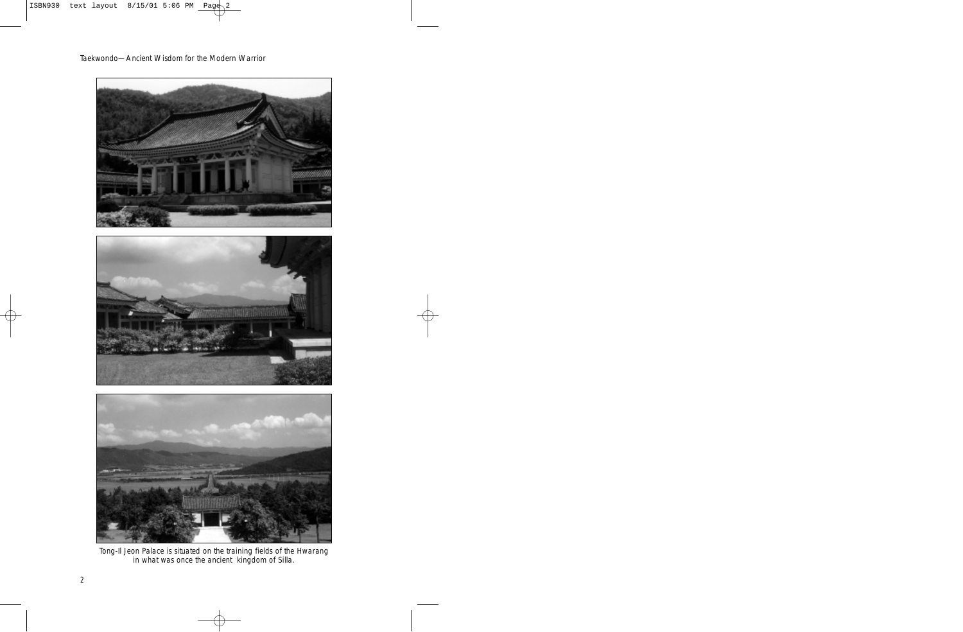

Tong-Il Jeon Palace is situated on the training fields of the Hwarang in what was once the ancient kingdom of Silla.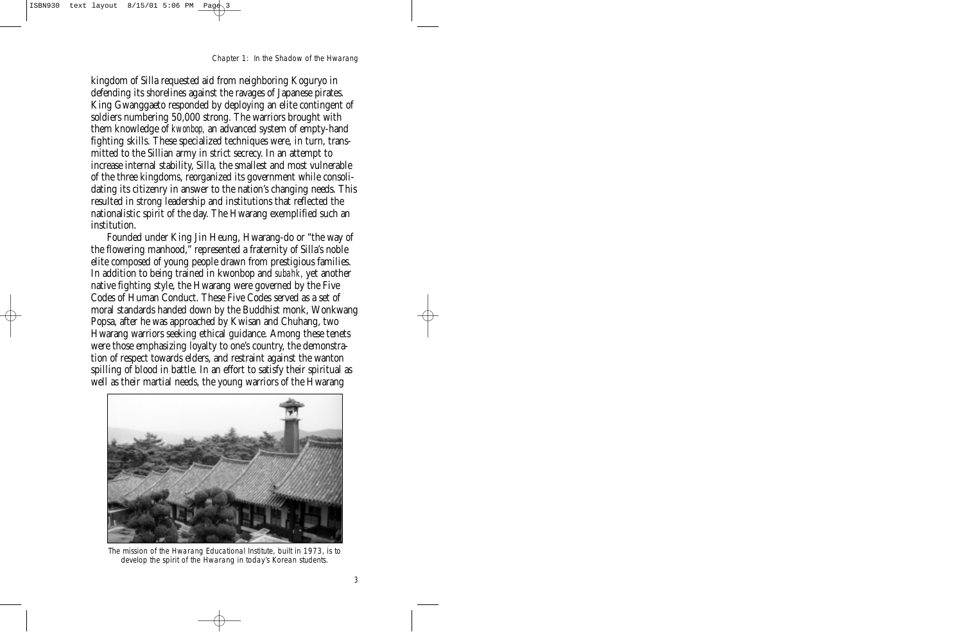kingdom of Silla requested aid from neighboring Koguryo in defending its shorelines against the ravages of Japanese pirates. King Gwanggaeto responded by deploying an elite contingent of soldiers numbering 50,000 strong. The warriors brought with them knowledge of *kwonbop,* an advanced system of empty-hand fighting skills. These specialized techniques were, in turn, transmitted to the Sillian army in strict secrecy. In an attempt to increase internal stability, Silla, the smallest and most vulnerable of the three kingdoms, reorganized its government while consolidating its citizenry in answer to the nation's changing needs. This resulted in strong leadership and institutions that reflected the nationalistic spirit of the day. The Hwarang exemplified such an institution.

Founded under King Jin Heung, Hwarang-do or "the way of the flowering manhood," represented a fraternity of Silla's noble elite composed of young people drawn from prestigious families. In addition to being trained in kwonbop and *subahk,* yet another native fighting style, the Hwarang were governed by the Five Codes of Human Conduct. These Five Codes served as a set of moral standards handed down by the Buddhist monk, Wonkwang Popsa, after he was approached by Kwisan and Chuhang, two Hwarang warriors seeking ethical guidance. Among these tenets were those emphasizing loyalty to one's country, the demonstration of respect towards elders, and restraint against the wanton spilling of blood in battle. In an effort to satisfy their spiritual as well as their martial needs, the young warriors of the Hwarang



The mission of the Hwarang Educational Institute, built in 1973, is to develop the spirit of the Hwarang in today's Korean students.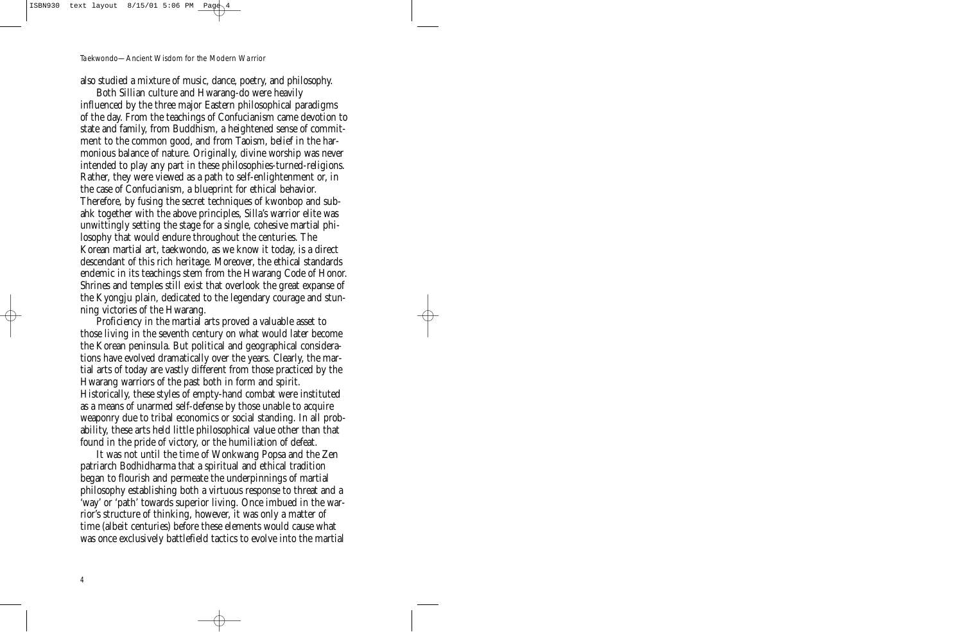also studied a mixture of music, dance, poetry, and philosophy.

Both Sillian culture and Hwarang-do were heavily influenced by the three major Eastern philosophical paradigms of the day. From the teachings of Confucianism came devotion to state and family, from Buddhism, a heightened sense of commitment to the common good, and from Taoism, belief in the harmonious balance of nature. Originally, divine worship was never intended to play any part in these philosophies-turned-religions. Rather, they were viewed as a path to self-enlightenment or, in the case of Confucianism, a blueprint for ethical behavior. Therefore, by fusing the secret techniques of kwonbop and subahk together with the above principles, Silla's warrior elite was unwittingly setting the stage for a single, cohesive martial philosophy that would endure throughout the centuries. The Korean martial art, taekwondo, as we know it today, is a direct descendant of this rich heritage. Moreover, the ethical standards endemic in its teachings stem from the Hwarang Code of Honor. Shrines and temples still exist that overlook the great expanse of the Kyongju plain, dedicated to the legendary courage and stunning victories of the Hwarang.

Proficiency in the martial arts proved a valuable asset to those living in the seventh century on what would later become the Korean peninsula. But political and geographical considerations have evolved dramatically over the years. Clearly, the martial arts of today are vastly different from those practiced by the Hwarang warriors of the past both in form and spirit. Historically, these styles of empty-hand combat were instituted as a means of unarmed self-defense by those unable to acquire weaponry due to tribal economics or social standing. In all probability, these arts held little philosophical value other than that found in the pride of victory, or the humiliation of defeat.

It was not until the time of Wonkwang Popsa and the Zen patriarch Bodhidharma that a spiritual and ethical tradition began to flourish and permeate the underpinnings of martial philosophy establishing both a virtuous response to threat and a 'way' or 'path' towards superior living. Once imbued in the warrior's structure of thinking, however, it was only a matter of time (albeit centuries) before these elements would cause what was once exclusively battlefield tactics to evolve into the martial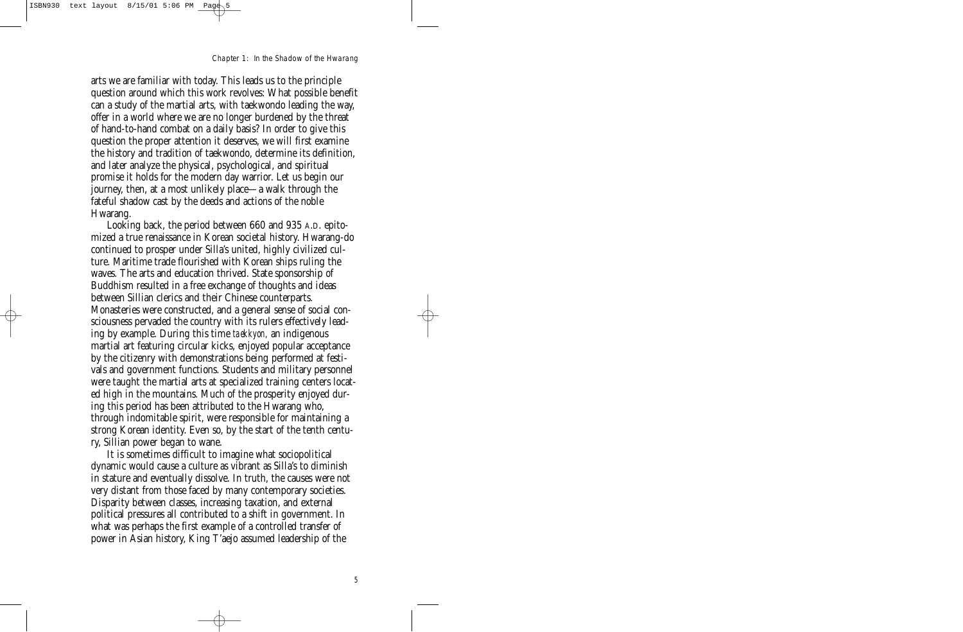arts we are familiar with today. This leads us to the principle question around which this work revolves: What possible benefit can a study of the martial arts, with taekwondo leading the way, offer in a world where we are no longer burdened by the threat of hand-to-hand combat on a daily basis? In order to give this question the proper attention it deserves, we will first examine the history and tradition of taekwondo, determine its definition, and later analyze the physical, psychological, and spiritual promise it holds for the modern day warrior. Let us begin our journey, then, at a most unlikely place—a walk through the fateful shadow cast by the deeds and actions of the noble Hwarang.

Looking back, the period between 660 and 935 A.D. epitomized a true renaissance in Korean societal history. Hwarang-do continued to prosper under Silla's united, highly civilized culture. Maritime trade flourished with Korean ships ruling the waves. The arts and education thrived. State sponsorship of Buddhism resulted in a free exchange of thoughts and ideas between Sillian clerics and their Chinese counterparts. Monasteries were constructed, and a general sense of social consciousness pervaded the country with its rulers effectively leading by example. During this time *taekkyon,* an indigenous martial art featuring circular kicks, enjoyed popular acceptance by the citizenry with demonstrations being performed at festivals and government functions. Students and military personnel were taught the martial arts at specialized training centers located high in the mountains. Much of the prosperity enjoyed during this period has been attributed to the Hwarang who, through indomitable spirit, were responsible for maintaining a strong Korean identity. Even so, by the start of the tenth century, Sillian power began to wane.

It is sometimes difficult to imagine what sociopolitical dynamic would cause a culture as vibrant as Silla's to diminish in stature and eventually dissolve. In truth, the causes were not very distant from those faced by many contemporary societies. Disparity between classes, increasing taxation, and external political pressures all contributed to a shift in government. In what was perhaps the first example of a controlled transfer of power in Asian history, King T'aejo assumed leadership of the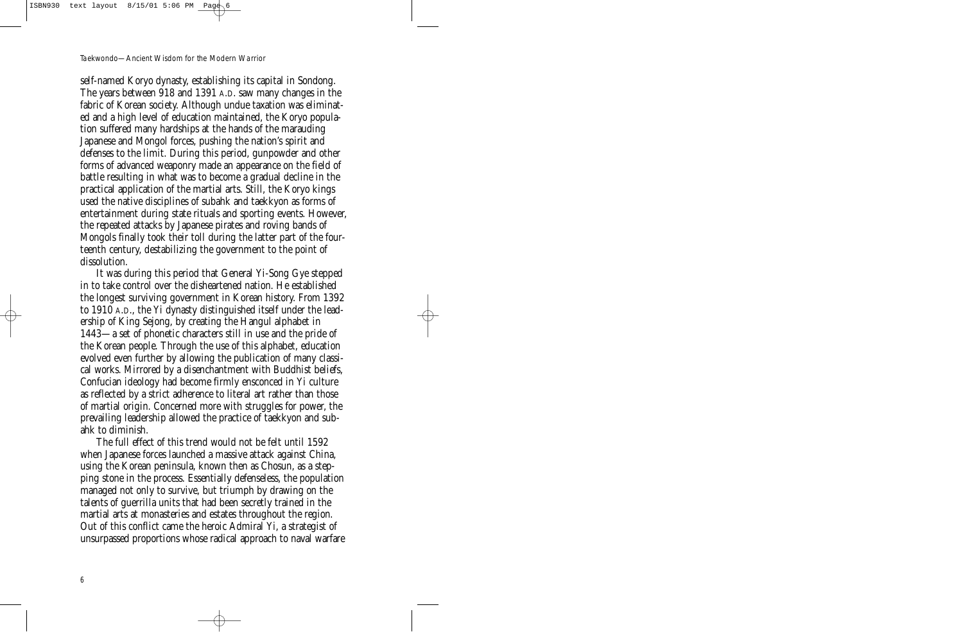self-named Koryo dynasty, establishing its capital in Sondong. The years between 918 and 1391 A.D. saw many changes in the fabric of Korean society. Although undue taxation was eliminated and a high level of education maintained, the Koryo population suffered many hardships at the hands of the marauding Japanese and Mongol forces, pushing the nation's spirit and defenses to the limit. During this period, gunpowder and other forms of advanced weaponry made an appearance on the field of battle resulting in what was to become a gradual decline in the practical application of the martial arts. Still, the Koryo kings used the native disciplines of subahk and taekkyon as forms of entertainment during state rituals and sporting events. However, the repeated attacks by Japanese pirates and roving bands of Mongols finally took their toll during the latter part of the fourteenth century, destabilizing the government to the point of dissolution.

It was during this period that General Yi-Song Gye stepped in to take control over the disheartened nation. He established the longest surviving government in Korean history. From 1392 to 1910 A.D., the Yi dynasty distinguished itself under the leadership of King Sejong, by creating the Hangul alphabet in 1443—a set of phonetic characters still in use and the pride of the Korean people. Through the use of this alphabet, education evolved even further by allowing the publication of many classical works. Mirrored by a disenchantment with Buddhist beliefs, Confucian ideology had become firmly ensconced in Yi culture as reflected by a strict adherence to literal art rather than those of martial origin. Concerned more with struggles for power, the prevailing leadership allowed the practice of taekkyon and subahk to diminish.

The full effect of this trend would not be felt until 1592 when Japanese forces launched a massive attack against China, using the Korean peninsula, known then as Chosun, as a stepping stone in the process. Essentially defenseless, the population managed not only to survive, but triumph by drawing on the talents of guerrilla units that had been secretly trained in the martial arts at monasteries and estates throughout the region. Out of this conflict came the heroic Admiral Yi, a strategist of unsurpassed proportions whose radical approach to naval warfare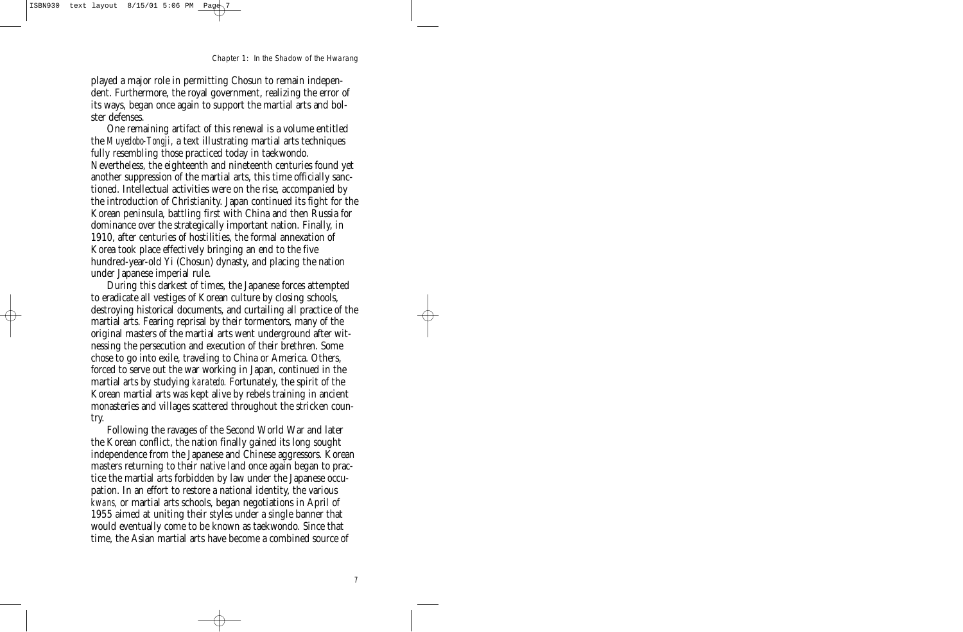played a major role in permitting Chosun to remain independent. Furthermore, the royal government, realizing the error of its ways, began once again to support the martial arts and bolster defenses.

One remaining artifact of this renewal is a volume entitled the *Muyedobo-Tongji,* a text illustrating martial arts techniques fully resembling those practiced today in taekwondo. Nevertheless, the eighteenth and nineteenth centuries found yet another suppression of the martial arts, this time officially sanctioned. Intellectual activities were on the rise, accompanied by the introduction of Christianity. Japan continued its fight for the Korean peninsula, battling first with China and then Russia for dominance over the strategically important nation. Finally, in 1910, after centuries of hostilities, the formal annexation of Korea took place effectively bringing an end to the five hundred-year-old Yi (Chosun) dynasty, and placing the nation under Japanese imperial rule.

During this darkest of times, the Japanese forces attempted to eradicate all vestiges of Korean culture by closing schools, destroying historical documents, and curtailing all practice of the martial arts. Fearing reprisal by their tormentors, many of the original masters of the martial arts went underground after witnessing the persecution and execution of their brethren. Some chose to go into exile, traveling to China or America. Others, forced to serve out the war working in Japan, continued in the martial arts by studying *karatedo.* Fortunately, the spirit of the Korean martial arts was kept alive by rebels training in ancient monasteries and villages scattered throughout the stricken country.

Following the ravages of the Second World War and later the Korean conflict, the nation finally gained its long sought independence from the Japanese and Chinese aggressors. Korean masters returning to their native land once again began to practice the martial arts forbidden by law under the Japanese occupation. In an effort to restore a national identity, the various *kwans,* or martial arts schools, began negotiations in April of 1955 aimed at uniting their styles under a single banner that would eventually come to be known as taekwondo. Since that time, the Asian martial arts have become a combined source of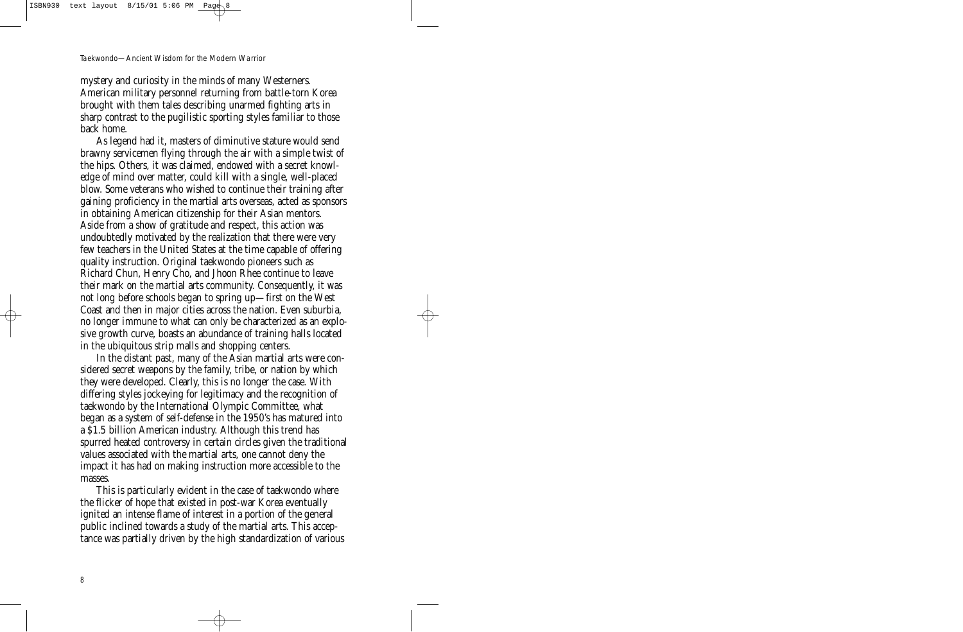mystery and curiosity in the minds of many Westerners. American military personnel returning from battle-torn Korea brought with them tales describing unarmed fighting arts in sharp contrast to the pugilistic sporting styles familiar to those back home.

As legend had it, masters of diminutive stature would send brawny servicemen flying through the air with a simple twist of the hips. Others, it was claimed, endowed with a secret knowledge of mind over matter, could kill with a single, well-placed blow. Some veterans who wished to continue their training after gaining proficiency in the martial arts overseas, acted as sponsors in obtaining American citizenship for their Asian mentors. Aside from a show of gratitude and respect, this action was undoubtedly motivated by the realization that there were very few teachers in the United States at the time capable of offering quality instruction. Original taekwondo pioneers such as Richard Chun, Henry Cho, and Jhoon Rhee continue to leave their mark on the martial arts community. Consequently, it was not long before schools began to spring up—first on the West Coast and then in major cities across the nation. Even suburbia, no longer immune to what can only be characterized as an explosive growth curve, boasts an abundance of training halls located in the ubiquitous strip malls and shopping centers.

In the distant past, many of the Asian martial arts were considered secret weapons by the family, tribe, or nation by which they were developed. Clearly, this is no longer the case. With differing styles jockeying for legitimacy and the recognition of taekwondo by the International Olympic Committee, what began as a system of self-defense in the 1950's has matured into a \$1.5 billion American industry. Although this trend has spurred heated controversy in certain circles given the traditional values associated with the martial arts, one cannot deny the impact it has had on making instruction more accessible to the masses.

This is particularly evident in the case of taekwondo where the flicker of hope that existed in post-war Korea eventually ignited an intense flame of interest in a portion of the general public inclined towards a study of the martial arts. This acceptance was partially driven by the high standardization of various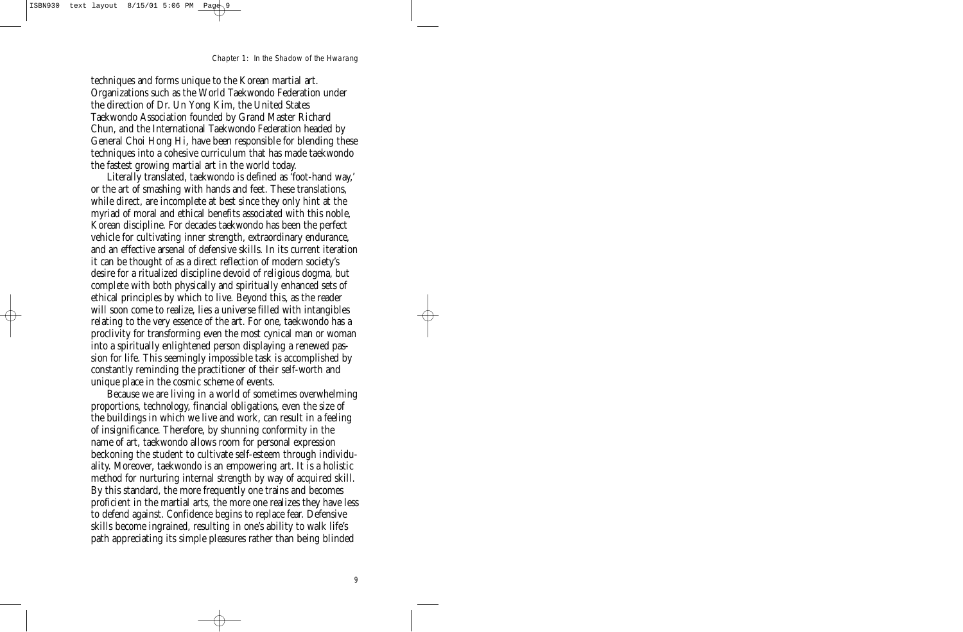techniques and forms unique to the Korean martial art. Organizations such as the World Taekwondo Federation under the direction of Dr. Un Yong Kim, the United States Taekwondo Association founded by Grand Master Richard Chun, and the International Taekwondo Federation headed by General Choi Hong Hi, have been responsible for blending these techniques into a cohesive curriculum that has made taekwondo the fastest growing martial art in the world today.

Literally translated, taekwondo is defined as 'foot-hand way,' or the art of smashing with hands and feet. These translations, while direct, are incomplete at best since they only hint at the myriad of moral and ethical benefits associated with this noble, Korean discipline. For decades taekwondo has been the perfect vehicle for cultivating inner strength, extraordinary endurance, and an effective arsenal of defensive skills. In its current iteration it can be thought of as a direct reflection of modern society's desire for a ritualized discipline devoid of religious dogma, but complete with both physically and spiritually enhanced sets of ethical principles by which to live. Beyond this, as the reader will soon come to realize, lies a universe filled with intangibles relating to the very essence of the art. For one, taekwondo has a proclivity for transforming even the most cynical man or woman into a spiritually enlightened person displaying a renewed passion for life. This seemingly impossible task is accomplished by constantly reminding the practitioner of their self-worth and unique place in the cosmic scheme of events.

Because we are living in a world of sometimes overwhelming proportions, technology, financial obligations, even the size of the buildings in which we live and work, can result in a feeling of insignificance. Therefore, by shunning conformity in the name of art, taekwondo allows room for personal expression beckoning the student to cultivate self-esteem through individuality. Moreover, taekwondo is an empowering art. It is a holistic method for nurturing internal strength by way of acquired skill. By this standard, the more frequently one trains and becomes proficient in the martial arts, the more one realizes they have less to defend against. Confidence begins to replace fear. Defensive skills become ingrained, resulting in one's ability to walk life's path appreciating its simple pleasures rather than being blinded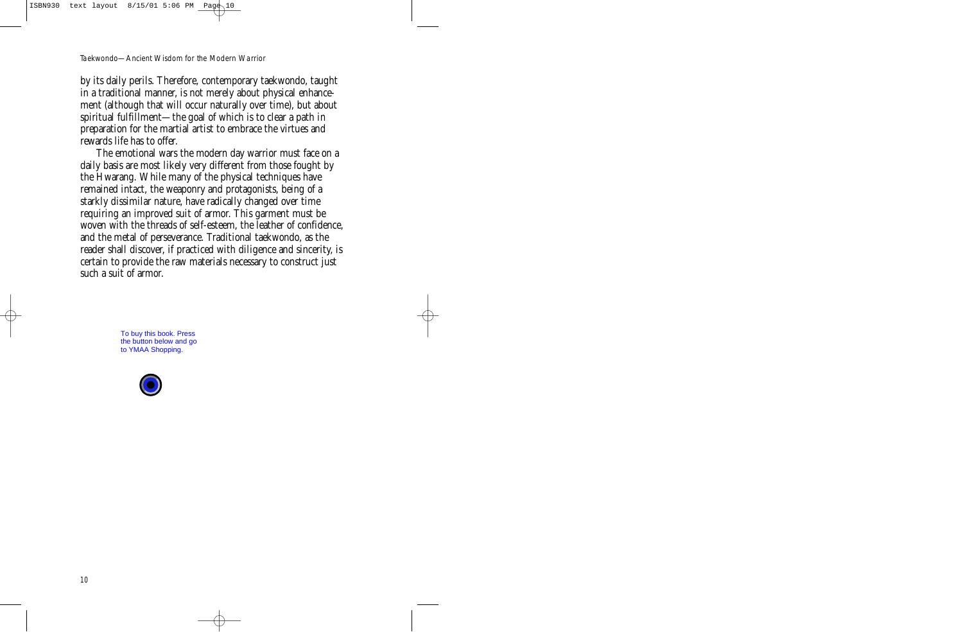by its daily perils. Therefore, contemporary taekwondo, taught in a traditional manner, is not merely about physical enhancement (although that will occur naturally over time), but about spiritual fulfillment—the goal of which is to clear a path in preparation for the martial artist to embrace the virtues and rewards life has to offer.

The emotional wars the modern day warrior must face on a daily basis are most likely very different from those fought by the Hwarang. While many of the physical techniques have remained intact, the weaponry and protagonists, being of a starkly dissimilar nature, have radically changed over time requiring an improved suit of armor. This garment must be woven with the threads of self-esteem, the leather of confidence, and the metal of perseverance. Traditional taekwondo, as the reader shall discover, if practiced with diligence and sincerity, is certain to provide the raw materials necessary to construct just such a suit of armor.

> To buy this book. Press the button below and go to YMAA Shopping.

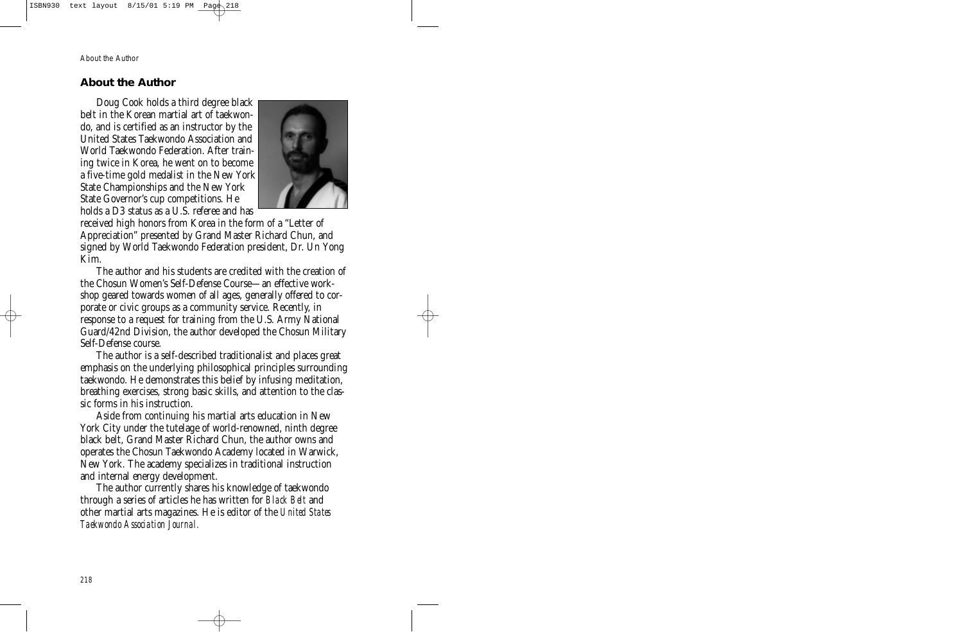### **About the Author**

Doug Cook holds a third degree black belt in the Korean martial art of taekwondo, and is certified as an instructor by the United States Taekwondo Association and World Taekwondo Federation. After training twice in Korea, he went on to become a five-time gold medalist in the New York State Championships and the New York State Governor's cup competitions. He holds a D3 status as a U.S. referee and has



received high honors from Korea in the form of a "Letter of Appreciation" presented by Grand Master Richard Chun, and signed by World Taekwondo Federation president, Dr. Un Yong Kim.

The author and his students are credited with the creation of the Chosun Women's Self-Defense Course—an effective workshop geared towards women of all ages, generally offered to corporate or civic groups as a community service. Recently, in response to a request for training from the U.S. Army National Guard/42nd Division, the author developed the Chosun Military Self-Defense course.

The author is a self-described traditionalist and places great emphasis on the underlying philosophical principles surrounding taekwondo. He demonstrates this belief by infusing meditation, breathing exercises, strong basic skills, and attention to the classic forms in his instruction.

Aside from continuing his martial arts education in New York City under the tutelage of world-renowned, ninth degree black belt, Grand Master Richard Chun, the author owns and operates the Chosun Taekwondo Academy located in Warwick, New York. The academy specializes in traditional instruction and internal energy development.

The author currently shares his knowledge of taekwondo through a series of articles he has written for *Black Belt* and other martial arts magazines. He is editor of the *United States Taekwondo Association Journal.*